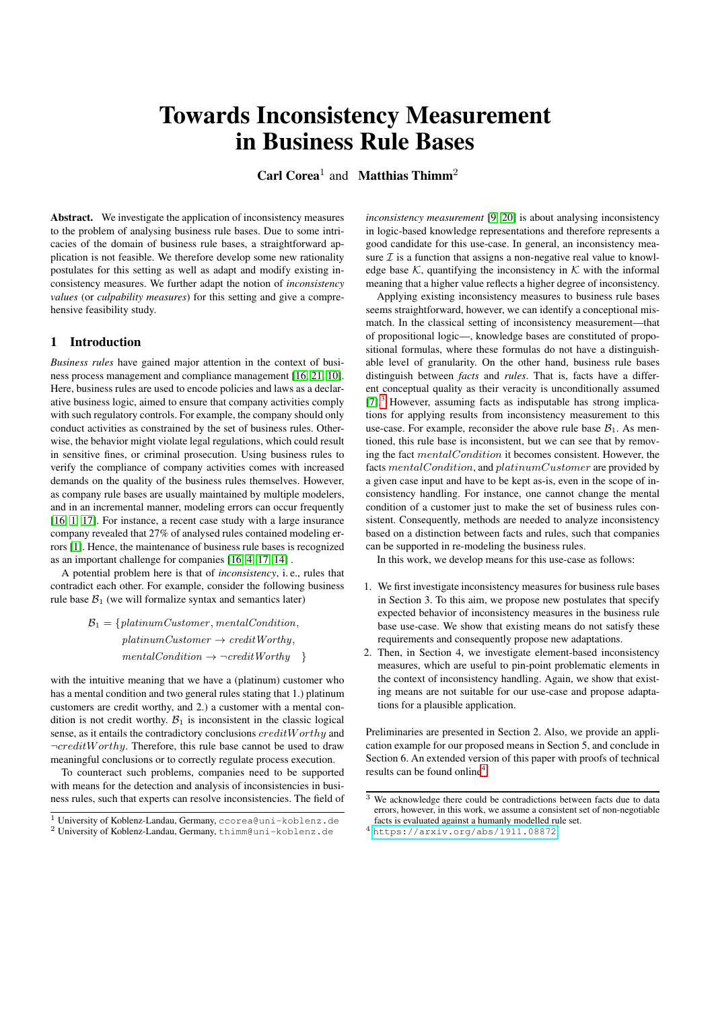# Towards Inconsistency Measurement in Business Rule Bases

Carl Corea<sup>1</sup> and Matthias Thimm<sup>2</sup>

Abstract. We investigate the application of inconsistency measures to the problem of analysing business rule bases. Due to some intricacies of the domain of business rule bases, a straightforward application is not feasible. We therefore develop some new rationality postulates for this setting as well as adapt and modify existing inconsistency measures. We further adapt the notion of *inconsistency values* (or *culpability measures*) for this setting and give a comprehensive feasibility study.

# <span id="page-0-2"></span>1 Introduction

*Business rules* have gained major attention in the context of business process management and compliance management [\[16,](#page-7-0) [21,](#page-7-1) [10\]](#page-7-2). Here, business rules are used to encode policies and laws as a declarative business logic, aimed to ensure that company activities comply with such regulatory controls. For example, the company should only conduct activities as constrained by the set of business rules. Otherwise, the behavior might violate legal regulations, which could result in sensitive fines, or criminal prosecution. Using business rules to verify the compliance of company activities comes with increased demands on the quality of the business rules themselves. However, as company rule bases are usually maintained by multiple modelers, and in an incremental manner, modeling errors can occur frequently [\[16,](#page-7-0) [1,](#page-6-0) [17\]](#page-7-3). For instance, a recent case study with a large insurance company revealed that 27% of analysed rules contained modeling errors [\[1\]](#page-6-0). Hence, the maintenance of business rule bases is recognized as an important challenge for companies [\[16,](#page-7-0) [4,](#page-6-1) [17,](#page-7-3) [14\]](#page-7-4) .

A potential problem here is that of *inconsistency*, i. e., rules that contradict each other. For example, consider the following business rule base  $B_1$  (we will formalize syntax and semantics later)

> $B_1 = \{platinumCustomer, mentalCondition,$  $platinumCustomer \rightarrow creditWorthu.$  $mentalCondition \rightarrow \neg creditWorking \}$

with the intuitive meaning that we have a (platinum) customer who has a mental condition and two general rules stating that 1.) platinum customers are credit worthy, and 2.) a customer with a mental condition is not credit worthy.  $B_1$  is inconsistent in the classic logical sense, as it entails the contradictory conclusions creditW orthy and  $\neg creditWorking$ . Therefore, this rule base cannot be used to draw meaningful conclusions or to correctly regulate process execution.

To counteract such problems, companies need to be supported with means for the detection and analysis of inconsistencies in business rules, such that experts can resolve inconsistencies. The field of

*inconsistency measurement* [\[9,](#page-7-5) [20\]](#page-7-6) is about analysing inconsistency in logic-based knowledge representations and therefore represents a good candidate for this use-case. In general, an inconsistency measure  $\mathcal I$  is a function that assigns a non-negative real value to knowledge base  $K$ , quantifying the inconsistency in  $K$  with the informal meaning that a higher value reflects a higher degree of inconsistency.

Applying existing inconsistency measures to business rule bases seems straightforward, however, we can identify a conceptional mismatch. In the classical setting of inconsistency measurement—that of propositional logic—, knowledge bases are constituted of propositional formulas, where these formulas do not have a distinguishable level of granularity. On the other hand, business rule bases distinguish between *facts* and *rules*. That is, facts have a different conceptual quality as their veracity is unconditionally assumed [\[7\]](#page-7-7).<sup>[3](#page-0-0)</sup> However, assuming facts as indisputable has strong implications for applying results from inconsistency measurement to this use-case. For example, reconsider the above rule base  $B_1$ . As mentioned, this rule base is inconsistent, but we can see that by removing the fact mentalCondition it becomes consistent. However, the facts mentalCondition, and platinumCustomer are provided by a given case input and have to be kept as-is, even in the scope of inconsistency handling. For instance, one cannot change the mental condition of a customer just to make the set of business rules consistent. Consequently, methods are needed to analyze inconsistency based on a distinction between facts and rules, such that companies can be supported in re-modeling the business rules.

In this work, we develop means for this use-case as follows:

- 1. We first investigate inconsistency measures for business rule bases in Section 3. To this aim, we propose new postulates that specify expected behavior of inconsistency measures in the business rule base use-case. We show that existing means do not satisfy these requirements and consequently propose new adaptations.
- 2. Then, in Section 4, we investigate element-based inconsistency measures, which are useful to pin-point problematic elements in the context of inconsistency handling. Again, we show that existing means are not suitable for our use-case and propose adaptations for a plausible application.

Preliminaries are presented in Section 2. Also, we provide an application example for our proposed means in Section 5, and conclude in Section 6. An extended version of this paper with proofs of technical results can be found online<sup>[4](#page-0-1)</sup>.

<sup>1</sup> University of Koblenz-Landau, Germany, ccorea@uni-koblenz.de <sup>2</sup> University of Koblenz-Landau, Germany, thimm@uni-koblenz.de

<span id="page-0-0"></span> $\overline{3}$  We acknowledge there could be contradictions between facts due to data errors, however, in this work, we assume a consistent set of non-negotiable facts is evaluated against a humanly modelled rule set.

<span id="page-0-1"></span><sup>4</sup> <https://arxiv.org/abs/1911.08872>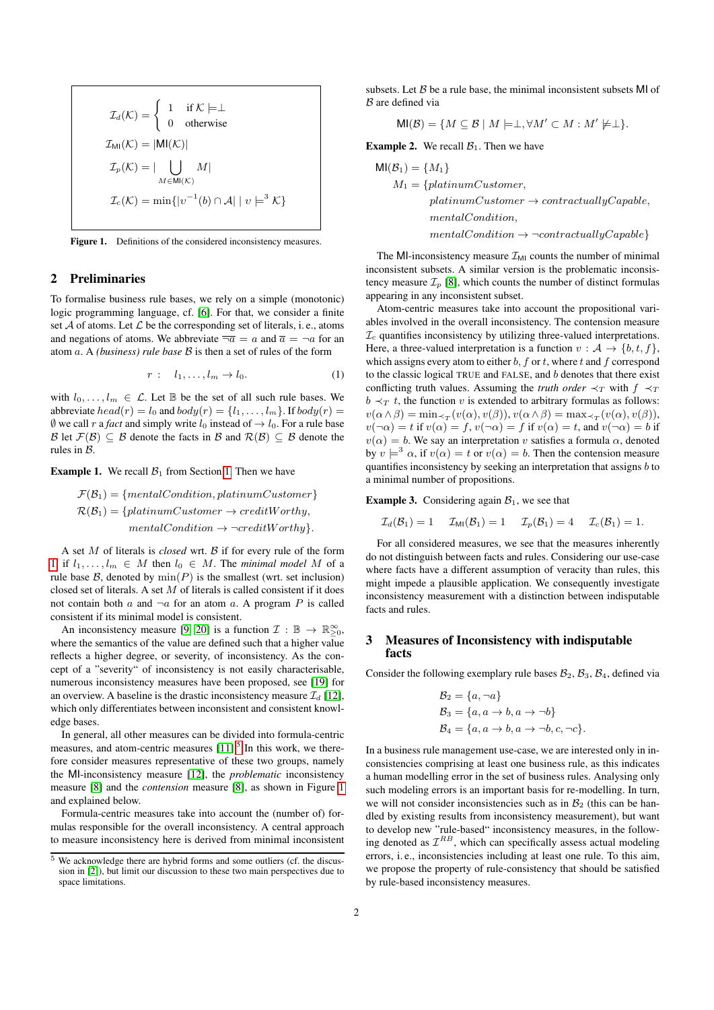$$
\mathcal{I}_d(\mathcal{K}) = \begin{cases}\n1 & \text{if } \mathcal{K} \models \perp \\
0 & \text{otherwise}\n\end{cases}
$$
\n
$$
\mathcal{I}_{\text{MI}}(\mathcal{K}) = |\mathsf{MI}(\mathcal{K})|
$$
\n
$$
\mathcal{I}_p(\mathcal{K}) = |\bigcup_{M \in \mathsf{MI}(\mathcal{K})} M|
$$
\n
$$
\mathcal{I}_c(\mathcal{K}) = \min\{|v^{-1}(b) \cap \mathcal{A}| \mid v \models^3 \mathcal{K}\}
$$

Figure 1. Definitions of the considered inconsistency measures.

#### 2 Preliminaries

To formalise business rule bases, we rely on a simple (monotonic) logic programming language, cf. [\[6\]](#page-7-8). For that, we consider a finite set  $A$  of atoms. Let  $L$  be the corresponding set of literals, i. e., atoms and negations of atoms. We abbreviate  $\overline{\neg a} = a$  and  $\overline{a} = \neg a$  for an atom a. A *(business) rule base* B is then a set of rules of the form

$$
r: l_1, \ldots, l_m \to l_0. \tag{1}
$$

with  $l_0, \ldots, l_m \in \mathcal{L}$ . Let  $\mathbb{B}$  be the set of all such rule bases. We abbreviate  $head(r) = l_0$  and  $body(r) = \{l_1, \ldots, l_m\}$ . If  $body(r) =$  $\emptyset$  we call r a *fact* and simply write  $l_0$  instead of  $\rightarrow l_0$ . For a rule base B let  $\mathcal{F}(\mathcal{B}) \subseteq \mathcal{B}$  denote the facts in B and  $\mathcal{R}(\mathcal{B}) \subseteq \mathcal{B}$  denote the rules in B.

**Example [1.](#page-0-2)** We recall  $B_1$  from Section 1. Then we have

$$
\mathcal{F}(\mathcal{B}_1) = \{mentalCondition, platinumCustomer\}
$$
  

$$
\mathcal{R}(\mathcal{B}_1) = \{platinumCustomer \rightarrow creditWorking, \\ mentalCondition \rightarrow \neg creditWorking\}.
$$

A set M of literals is *closed* wrt. B if for every rule of the form [1,](#page-1-0) if  $l_1, \ldots, l_m \in M$  then  $l_0 \in M$ . The *minimal model* M of a rule base  $\mathcal{B}$ , denoted by  $\min(P)$  is the smallest (wrt. set inclusion) closed set of literals. A set  $M$  of literals is called consistent if it does not contain both  $a$  and  $\neg a$  for an atom  $a$ . A program  $P$  is called consistent if its minimal model is consistent.

An inconsistency measure [\[9,](#page-7-5) [20\]](#page-7-6) is a function  $\mathcal{I}: \mathbb{B} \to \mathbb{R}_{\geq 0}^{\infty}$ , where the semantics of the value are defined such that a higher value reflects a higher degree, or severity, of inconsistency. As the concept of a "severity" of inconsistency is not easily characterisable, numerous inconsistency measures have been proposed, see [\[19\]](#page-7-9) for an overview. A baseline is the drastic inconsistency measure  $\mathcal{I}_d$  [\[12\]](#page-7-10), which only differentiates between inconsistent and consistent knowledge bases.

In general, all other measures can be divided into formula-centric measures, and atom-centric measures  $[11]$ <sup>[5](#page-1-1)</sup>. In this work, we therefore consider measures representative of these two groups, namely the MI-inconsistency measure [\[12\]](#page-7-10), the *problematic* inconsistency measure [\[8\]](#page-7-12) and the *contension* measure [\[8\]](#page-7-12), as shown in Figure [1](#page-1-2) and explained below.

Formula-centric measures take into account the (number of) formulas responsible for the overall inconsistency. A central approach to measure inconsistency here is derived from minimal inconsistent subsets. Let  $\beta$  be a rule base, the minimal inconsistent subsets MI of B are defined via

$$
\mathsf{MI}(\mathcal{B}) = \{ M \subseteq \mathcal{B} \mid M \models \perp, \forall M' \subset M : M' \not\models \perp \}.
$$

<span id="page-1-2"></span>**Example 2.** We recall  $\mathcal{B}_1$ . Then we have

$$
MI(\mathcal{B}_1) = \{M_1\}
$$
  
\n
$$
M_1 = \{platinumCustomer,
$$
  
\n
$$
platinumCustomer \rightarrow contractuallyCapable,
$$
  
\n
$$
mentalCondition,
$$
  
\n
$$
mentalCondition \rightarrow \neg contractuallyCapable\}
$$

The MI-inconsistency measure  $\mathcal{I}_{\text{MI}}$  counts the number of minimal inconsistent subsets. A similar version is the problematic inconsistency measure  $\mathcal{I}_p$  [\[8\]](#page-7-12), which counts the number of distinct formulas appearing in any inconsistent subset.

<span id="page-1-0"></span>Atom-centric measures take into account the propositional variables involved in the overall inconsistency. The contension measure  $\mathcal{I}_c$  quantifies inconsistency by utilizing three-valued interpretations. Here, a three-valued interpretation is a function  $v : A \rightarrow \{b, t, f\}$ , which assigns every atom to either  $b$ ,  $f$  or  $t$ , where  $t$  and  $f$  correspond to the classic logical TRUE and FALSE, and  $b$  denotes that there exist conflicting truth values. Assuming the *truth order*  $\prec_T$  with  $f \prec_T$  $b \prec_T t$ , the function v is extended to arbitrary formulas as follows:  $v(\alpha \wedge \beta) = \min_{\prec_T} (v(\alpha), v(\beta)), v(\alpha \wedge \beta) = \max_{\prec_T} (v(\alpha), v(\beta)),$  $v(\neg \alpha) = t$  if  $v(\alpha) = f$ ,  $v(\neg \alpha) = f$  if  $v(\alpha) = t$ , and  $v(\neg \alpha) = b$  if  $v(\alpha) = b$ . We say an interpretation v satisfies a formula  $\alpha$ , denoted by  $v \models^3 \alpha$ , if  $v(\alpha) = t$  or  $v(\alpha) = b$ . Then the contension measure quantifies inconsistency by seeking an interpretation that assigns b to a minimal number of propositions.

**Example 3.** Considering again  $B_1$ , we see that

$$
\mathcal{I}_d(\mathcal{B}_1) = 1 \quad \mathcal{I}_{\text{MI}}(\mathcal{B}_1) = 1 \quad \mathcal{I}_p(\mathcal{B}_1) = 4 \quad \mathcal{I}_c(\mathcal{B}_1) = 1.
$$

For all considered measures, we see that the measures inherently do not distinguish between facts and rules. Considering our use-case where facts have a different assumption of veracity than rules, this might impede a plausible application. We consequently investigate inconsistency measurement with a distinction between indisputable facts and rules.

## 3 Measures of Inconsistency with indisputable facts

Consider the following exemplary rule bases  $\mathcal{B}_2$ ,  $\mathcal{B}_3$ ,  $\mathcal{B}_4$ , defined via

$$
\mathcal{B}_2 = \{a, \neg a\}
$$
  
\n
$$
\mathcal{B}_3 = \{a, a \to b, a \to \neg b\}
$$
  
\n
$$
\mathcal{B}_4 = \{a, a \to b, a \to \neg b, c, \neg c\}.
$$

In a business rule management use-case, we are interested only in inconsistencies comprising at least one business rule, as this indicates a human modelling error in the set of business rules. Analysing only such modeling errors is an important basis for re-modelling. In turn, we will not consider inconsistencies such as in  $\mathcal{B}_2$  (this can be handled by existing results from inconsistency measurement), but want to develop new "rule-based" inconsistency measures, in the following denoted as  $\mathcal{I}^{RB}$ , which can specifically assess actual modeling errors, i. e., inconsistencies including at least one rule. To this aim, we propose the property of rule-consistency that should be satisfied by rule-based inconsistency measures.

<span id="page-1-1"></span> $\frac{5}{6}$  We acknowledge there are hybrid forms and some outliers (cf. the discussion in [\[2\]](#page-6-2)), but limit our discussion to these two main perspectives due to space limitations.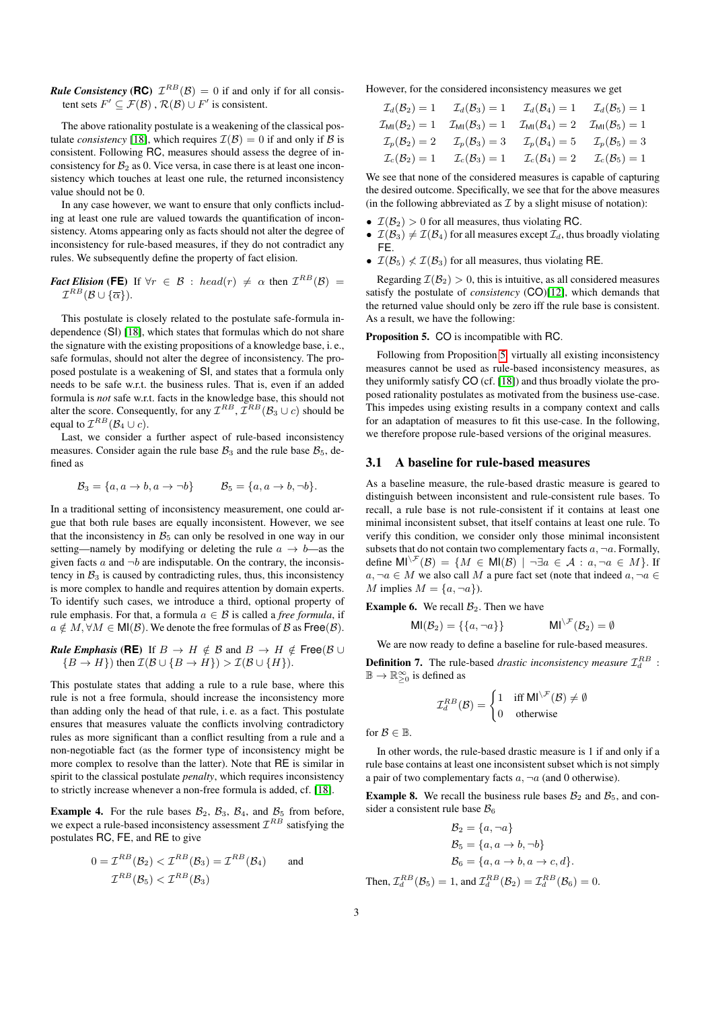*Rule Consistency* (**RC**)  $\mathcal{I}^{RB}(\mathcal{B}) = 0$  if and only if for all consistent sets  $F' \subseteq \mathcal{F}(\mathcal{B})$  ,  $\mathcal{R}(\mathcal{B}) \cup F'$  is consistent.

The above rationality postulate is a weakening of the classical postulate *consistency* [\[18\]](#page-7-13), which requires  $\mathcal{I}(\mathcal{B}) = 0$  if and only if  $\mathcal{B}$  is consistent. Following RC, measures should assess the degree of inconsistency for  $B_2$  as 0. Vice versa, in case there is at least one inconsistency which touches at least one rule, the returned inconsistency value should not be 0.

In any case however, we want to ensure that only conflicts including at least one rule are valued towards the quantification of inconsistency. Atoms appearing only as facts should not alter the degree of inconsistency for rule-based measures, if they do not contradict any rules. We subsequently define the property of fact elision.

*Fact Elision* (FE) If  $\forall r \in \mathcal{B}$  : head(r)  $\neq \alpha$  then  $\mathcal{I}^{RB}(\mathcal{B})=$  $\mathcal{I}^{RB}(\mathcal{B}\cup \{\overline{\alpha}\}).$ 

This postulate is closely related to the postulate safe-formula independence (SI) [\[18\]](#page-7-13), which states that formulas which do not share the signature with the existing propositions of a knowledge base, i. e., safe formulas, should not alter the degree of inconsistency. The proposed postulate is a weakening of SI, and states that a formula only needs to be safe w.r.t. the business rules. That is, even if an added formula is *not* safe w.r.t. facts in the knowledge base, this should not alter the score. Consequently, for any  $\mathcal{I}^{RB}, \mathcal{I}^{RB}(\mathcal{B}_3 \cup c)$  should be equal to  $\mathcal{I}^{RB}(\mathcal{B}_4 \cup c)$ .

Last, we consider a further aspect of rule-based inconsistency measures. Consider again the rule base  $B_3$  and the rule base  $B_5$ , defined as

$$
\mathcal{B}_3 = \{a, a \to b, a \to \neg b\} \qquad \mathcal{B}_5 = \{a, a \to b, \neg b\}.
$$

In a traditional setting of inconsistency measurement, one could argue that both rule bases are equally inconsistent. However, we see that the inconsistency in  $B_5$  can only be resolved in one way in our setting—namely by modifying or deleting the rule  $a \rightarrow b$ —as the given facts a and  $\neg b$  are indisputable. On the contrary, the inconsistency in  $B_3$  is caused by contradicting rules, thus, this inconsistency is more complex to handle and requires attention by domain experts. To identify such cases, we introduce a third, optional property of rule emphasis. For that, a formula  $a \in \mathcal{B}$  is called a *free formula*, if  $a \notin M$ ,  $\forall M \in \mathsf{MI}(\mathcal{B})$ . We denote the free formulas of  $\mathcal{B}$  as Free( $\mathcal{B}$ ).

**Rule Emphasis (RE)** If 
$$
B \to H \notin B
$$
 and  $B \to H \notin \text{Free}(B \cup \{B \to H\})$  then  $\mathcal{I}(B \cup \{B \to H\}) > \mathcal{I}(B \cup \{H\})$ .

This postulate states that adding a rule to a rule base, where this rule is not a free formula, should increase the inconsistency more than adding only the head of that rule, i. e. as a fact. This postulate ensures that measures valuate the conflicts involving contradictory rules as more significant than a conflict resulting from a rule and a non-negotiable fact (as the former type of inconsistency might be more complex to resolve than the latter). Note that RE is similar in spirit to the classical postulate *penalty*, which requires inconsistency to strictly increase whenever a non-free formula is added, cf. [\[18\]](#page-7-13).

**Example 4.** For the rule bases  $\mathcal{B}_2$ ,  $\mathcal{B}_3$ ,  $\mathcal{B}_4$ , and  $\mathcal{B}_5$  from before, we expect a rule-based inconsistency assessment  $\mathcal{I}^{RB}$  satisfying the postulates RC, FE, and RE to give

$$
0 = \mathcal{I}^{RB}(\mathcal{B}_2) < \mathcal{I}^{RB}(\mathcal{B}_3) = \mathcal{I}^{RB}(\mathcal{B}_4) \qquad \text{and}
$$
\n
$$
\mathcal{I}^{RB}(\mathcal{B}_5) < \mathcal{I}^{RB}(\mathcal{B}_3)
$$

However, for the considered inconsistency measures we get

| $\mathcal{I}_d(\mathcal{B}_2)=1$             | $\mathcal{I}_d(\mathcal{B}_3)=1$           | $\mathcal{I}_d(\mathcal{B}_4)=1$             | $\mathcal{I}_d(\mathcal{B}_5)=1$           |
|----------------------------------------------|--------------------------------------------|----------------------------------------------|--------------------------------------------|
| $\mathcal{I}_{\textsf{MI}}(\mathcal{B}_2)=1$ | $\mathcal{I}_{\text{MI}}(\mathcal{B}_3)=1$ | $\mathcal{I}_{\textsf{MI}}(\mathcal{B}_4)=2$ | $\mathcal{I}_{\text{MI}}(\mathcal{B}_5)=1$ |
| $\mathcal{I}_p(\mathcal{B}_2)=2$             | $\mathcal{I}_p(\mathcal{B}_3)=3$           | $\mathcal{I}_{p}(\mathcal{B}_{4})=5$         | $\mathcal{I}_p(\mathcal{B}_5)=3$           |
| $\mathcal{I}_c(\mathcal{B}_2)=1$             | $\mathcal{L}_c(\mathcal{B}_3)=1$           | $\mathcal{I}_c(\mathcal{B}_4)=2$             | $\mathcal{I}_c(\mathcal{B}_5)=1$           |

We see that none of the considered measures is capable of capturing the desired outcome. Specifically, we see that for the above measures (in the following abbreviated as  $\mathcal I$  by a slight misuse of notation):

- $\mathcal{I}(\mathcal{B}_2) > 0$  for all measures, thus violating RC.
- $\mathcal{I}(\mathcal{B}_3) \neq \mathcal{I}(\mathcal{B}_4)$  for all measures except  $\mathcal{I}_d$ , thus broadly violating FE.
- $\mathcal{I}(\mathcal{B}_5) \nless \mathcal{I}(\mathcal{B}_3)$  for all measures, thus violating RE.

Regarding  $\mathcal{I}(\mathcal{B}_2) > 0$ , this is intuitive, as all considered measures satisfy the postulate of *consistency* (CO)[\[12\]](#page-7-10), which demands that the returned value should only be zero iff the rule base is consistent. As a result, we have the following:

#### <span id="page-2-0"></span>Proposition 5. CO is incompatible with RC.

Following from Proposition [5,](#page-2-0) virtually all existing inconsistency measures cannot be used as rule-based inconsistency measures, as they uniformly satisfy CO (cf. [\[18\]](#page-7-13)) and thus broadly violate the proposed rationality postulates as motivated from the business use-case. This impedes using existing results in a company context and calls for an adaptation of measures to fit this use-case. In the following, we therefore propose rule-based versions of the original measures.

#### 3.1 A baseline for rule-based measures

As a baseline measure, the rule-based drastic measure is geared to distinguish between inconsistent and rule-consistent rule bases. To recall, a rule base is not rule-consistent if it contains at least one minimal inconsistent subset, that itself contains at least one rule. To verify this condition, we consider only those minimal inconsistent subsets that do not contain two complementary facts  $a, \neg a$ . Formally, define  $\text{MI}^{\setminus \mathcal{F}}(\mathcal{B}) = \{M \in \text{MI}(\mathcal{B}) \mid \neg \exists a \in \mathcal{A} : a, \neg a \in M\}.$  If  $a, \neg a \in M$  we also call M a pure fact set (note that indeed  $a, \neg a \in$ M implies  $M = \{a, \neg a\}$ .

**Example 6.** We recall  $\mathcal{B}_2$ . Then we have

$$
MI(\mathcal{B}_2) = \{\{a, \neg a\}\}\qquad \qquad MI^{\setminus \mathcal{F}}(\mathcal{B}_2) = \emptyset
$$

We are now ready to define a baseline for rule-based measures.

**Definition 7.** The rule-based *drastic inconsistency measure*  $\mathcal{I}_d^{RB}$  :  $\mathbb{B} \to \mathbb{R}_{\geq 0}^{\infty}$  is defined as

$$
\mathcal{I}_d^{RB}(\mathcal{B}) = \begin{cases} 1 & \text{iff } \mathsf{MI}^{\setminus \mathcal{F}}(\mathcal{B}) \neq \emptyset \\ 0 & \text{otherwise} \end{cases}
$$

for  $\mathcal{B} \in \mathbb{B}$ .

In other words, the rule-based drastic measure is 1 if and only if a rule base contains at least one inconsistent subset which is not simply a pair of two complementary facts  $a, \neg a$  (and 0 otherwise).

**Example 8.** We recall the business rule bases  $\mathcal{B}_2$  and  $\mathcal{B}_5$ , and consider a consistent rule base  $B_6$ 

$$
\mathcal{B}_2 = \{a, \neg a\}
$$
  
\n
$$
\mathcal{B}_5 = \{a, a \to b, \neg b\}
$$
  
\n
$$
\mathcal{B}_6 = \{a, a \to b, a \to c, d\}.
$$
  
\nThen,  $\mathcal{I}_d^{RB}(\mathcal{B}_5) = 1$ , and  $\mathcal{I}_d^{RB}(\mathcal{B}_2) = \mathcal{I}_d^{RB}(\mathcal{B}_6) = 0$ .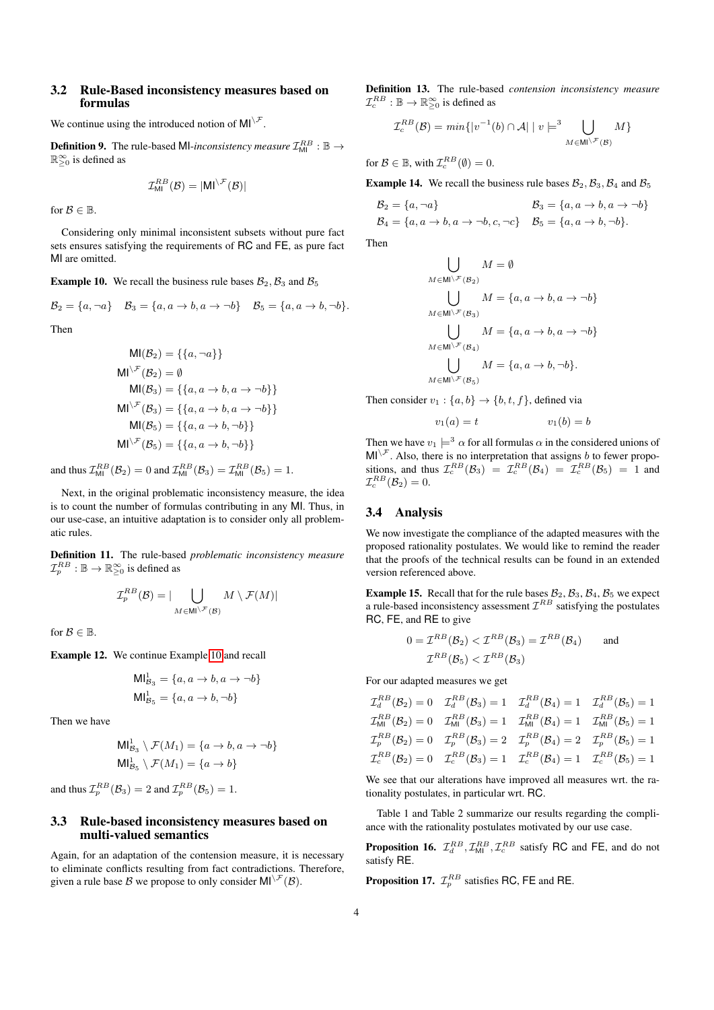## 3.2 Rule-Based inconsistency measures based on formulas

We continue using the introduced notion of  $MI^{\setminus \mathcal{F}}$ .

**Definition 9.** The rule-based MI-inconsistency measure  $\mathcal{I}_{\textsf{MI}}^{RB}$  :  $\mathbb{B} \rightarrow$  $\mathbb{R}_{\geq 0}^{\infty}$  is defined as

$$
\mathcal{I}_{\text{MI}}^{RB}(\mathcal{B}) = |\text{MI}^{\setminus \mathcal{F}}(\mathcal{B})|
$$

for  $\mathcal{B} \in \mathbb{B}$ .

Considering only minimal inconsistent subsets without pure fact sets ensures satisfying the requirements of RC and FE, as pure fact MI are omitted.

<span id="page-3-0"></span>**Example 10.** We recall the business rule bases  $\mathcal{B}_2$ ,  $\mathcal{B}_3$  and  $\mathcal{B}_5$ 

$$
\mathcal{B}_2 = \{a, \neg a\} \quad \mathcal{B}_3 = \{a, a \to b, a \to \neg b\} \quad \mathcal{B}_5 = \{a, a \to b, \neg b\}.
$$

Then

$$
MI(\mathcal{B}_2) = \{\{a, \neg a\}\}\
$$
  
\n
$$
MI^{\setminus \mathcal{F}}(\mathcal{B}_2) = \emptyset
$$
  
\n
$$
MI(\mathcal{B}_3) = \{\{a, a \to b, a \to \neg b\}\}\
$$
  
\n
$$
MI^{\setminus \mathcal{F}}(\mathcal{B}_3) = \{\{a, a \to b, a \to \neg b\}\}\
$$
  
\n
$$
MI^{\setminus \mathcal{F}}(\mathcal{B}_5) = \{\{a, a \to b, \neg b\}\}\
$$
  
\n
$$
MI^{\setminus \mathcal{F}}(\mathcal{B}_5) = \{\{a, a \to b, \neg b\}\}\
$$

and thus  $\mathcal{I}_{\text{MI}}^{RB}(\mathcal{B}_2) = 0$  and  $\mathcal{I}_{\text{MI}}^{RB}(\mathcal{B}_3) = \mathcal{I}_{\text{MI}}^{RB}(\mathcal{B}_5) = 1$ .

Next, in the original problematic inconsistency measure, the idea is to count the number of formulas contributing in any MI. Thus, in our use-case, an intuitive adaptation is to consider only all problematic rules.

Definition 11. The rule-based *problematic inconsistency measure*  $\mathcal{I}_p^{RB}: \mathbb{B} \to \mathbb{R}_{\geq 0}^{\infty}$  is defined as

$$
\mathcal{I}_p^{RB}(\mathcal{B}) = |\bigcup_{M \in \mathsf{MI} \setminus \mathcal{F}(\mathcal{B})} M \setminus \mathcal{F}(M)|
$$

for  $\mathcal{B} \in \mathbb{B}$ .

Example 12. We continue Example [10](#page-3-0) and recall

$$
Ml_{\mathcal{B}_3}^1 = \{a, a \to b, a \to \neg b\}
$$

$$
Ml_{\mathcal{B}_5}^1 = \{a, a \to b, \neg b\}
$$

Then we have

$$
\begin{aligned} \mathsf{MI}^1_{\mathcal{B}_3} \setminus \mathcal{F}(M_1) &= \{a \to b, a \to \neg b\} \\ \mathsf{MI}^1_{\mathcal{B}_5} \setminus \mathcal{F}(M_1) &= \{a \to b\} \end{aligned}
$$

and thus  $\mathcal{I}_p^{RB}(\mathcal{B}_3)=2$  and  $\mathcal{I}_p^{RB}(\mathcal{B}_5)=1$ .

# 3.3 Rule-based inconsistency measures based on multi-valued semantics

Again, for an adaptation of the contension measure, it is necessary to eliminate conflicts resulting from fact contradictions. Therefore, given a rule base B we propose to only consider  $MI^{\setminus \mathcal{F}}(\mathcal{B})$ .

Definition 13. The rule-based *contension inconsistency measure*  $\mathcal{I}_c^{RB}: \mathbb{B} \to \mathbb{R}^\infty_{\geq 0}$  is defined as

$$
\mathcal{I}_c^{RB}(\mathcal{B}) = min\{|v^{-1}(b) \cap \mathcal{A}| \mid v \models^3 \bigcup_{M \in \mathsf{MI} \setminus \mathcal{F}(\mathcal{B})} M\}
$$

for  $\mathcal{B} \in \mathbb{B}$ , with  $\mathcal{I}_c^{RB}(\emptyset) = 0$ .

**Example 14.** We recall the business rule bases  $\mathcal{B}_2$ ,  $\mathcal{B}_3$ ,  $\mathcal{B}_4$  and  $\mathcal{B}_5$ 

$$
\mathcal{B}_2 = \{a, \neg a\} \qquad \qquad \mathcal{B}_3 = \{a, a \to b, a \to \neg b\} \n\mathcal{B}_4 = \{a, a \to b, a \to \neg b, c, \neg c\} \qquad \mathcal{B}_5 = \{a, a \to b, \neg b\}.
$$

Then

$$
\bigcup_{M \in \mathsf{MI}\backslash\mathcal{F}(\mathcal{B}_2)} M = \emptyset
$$
  
\n
$$
\bigcup_{M \in \mathsf{MI}\backslash\mathcal{F}(\mathcal{B}_3)} M = \{a, a \to b, a \to \neg b\}
$$
  
\n
$$
\bigcup_{M \in \mathsf{MI}\backslash\mathcal{F}(\mathcal{B}_4)} M = \{a, a \to b, a \to \neg b\}
$$
  
\n
$$
\bigcup_{M \in \mathsf{MI}\backslash\mathcal{F}(\mathcal{B}_5)} M = \{a, a \to b, \neg b\}.
$$

Then consider  $v_1$  :  $\{a, b\} \rightarrow \{b, t, f\}$ , defined via

$$
v_1(a) = t \qquad \qquad v_1(b) = b
$$

Then we have  $v_1 \models^3 \alpha$  for all formulas  $\alpha$  in the considered unions of  $MI^{\setminus \mathcal{F}}$ . Also, there is no interpretation that assigns b to fewer propositions, and thus  $\mathcal{I}_c^{RB}(\mathcal{B}_3) = \mathcal{I}_c^{RB}(\mathcal{B}_4) = \mathcal{I}_c^{RB}(\mathcal{B}_5) = 1$  and  $\mathcal{I}_c^{RB}(\mathcal{B}_2)=0.$ 

# 3.4 Analysis

We now investigate the compliance of the adapted measures with the proposed rationality postulates. We would like to remind the reader that the proofs of the technical results can be found in an extended version referenced above.

**Example 15.** Recall that for the rule bases  $\mathcal{B}_2$ ,  $\mathcal{B}_3$ ,  $\mathcal{B}_4$ ,  $\mathcal{B}_5$  we expect a rule-based inconsistency assessment  $\mathcal{I}^{RB}$  satisfying the postulates RC, FE, and RE to give

$$
0 = \mathcal{I}^{RB}(\mathcal{B}_2) < \mathcal{I}^{RB}(\mathcal{B}_3) = \mathcal{I}^{RB}(\mathcal{B}_4) \qquad \text{and}
$$
\n
$$
\mathcal{I}^{RB}(\mathcal{B}_5) < \mathcal{I}^{RB}(\mathcal{B}_3)
$$

For our adapted measures we get

$$
\mathcal{I}_{ab}^{RB}(\mathcal{B}_2) = 0 \quad \mathcal{I}_{ab}^{RB}(\mathcal{B}_3) = 1 \quad \mathcal{I}_{ab}^{RB}(\mathcal{B}_4) = 1 \quad \mathcal{I}_{ab}^{RB}(\mathcal{B}_5) = 1
$$
\n
$$
\mathcal{I}_{\text{MI}}^{RB}(\mathcal{B}_2) = 0 \quad \mathcal{I}_{\text{MI}}^{RB}(\mathcal{B}_3) = 1 \quad \mathcal{I}_{\text{MI}}^{RB}(\mathcal{B}_4) = 1 \quad \mathcal{I}_{\text{MI}}^{RB}(\mathcal{B}_5) = 1
$$
\n
$$
\mathcal{I}_{p}^{RB}(\mathcal{B}_2) = 0 \quad \mathcal{I}_{p}^{RB}(\mathcal{B}_3) = 2 \quad \mathcal{I}_{p}^{RB}(\mathcal{B}_4) = 2 \quad \mathcal{I}_{p}^{RB}(\mathcal{B}_5) = 1
$$
\n
$$
\mathcal{I}_{c}^{RB}(\mathcal{B}_2) = 0 \quad \mathcal{I}_{c}^{RB}(\mathcal{B}_3) = 1 \quad \mathcal{I}_{c}^{RB}(\mathcal{B}_4) = 1 \quad \mathcal{I}_{c}^{RB}(\mathcal{B}_5) = 1
$$

We see that our alterations have improved all measures wrt. the rationality postulates, in particular wrt. RC.

Table 1 and Table 2 summarize our results regarding the compliance with the rationality postulates motivated by our use case.

**Proposition 16.**  $\mathcal{I}_d^{RB}$ ,  $\mathcal{I}_{ML}^{RB}$ ,  $\mathcal{I}_c^{RB}$  satisfy RC and FE, and do not satisfy RE.

**Proposition 17.**  $\mathcal{I}_p^{RB}$  satisfies RC, FE and RE.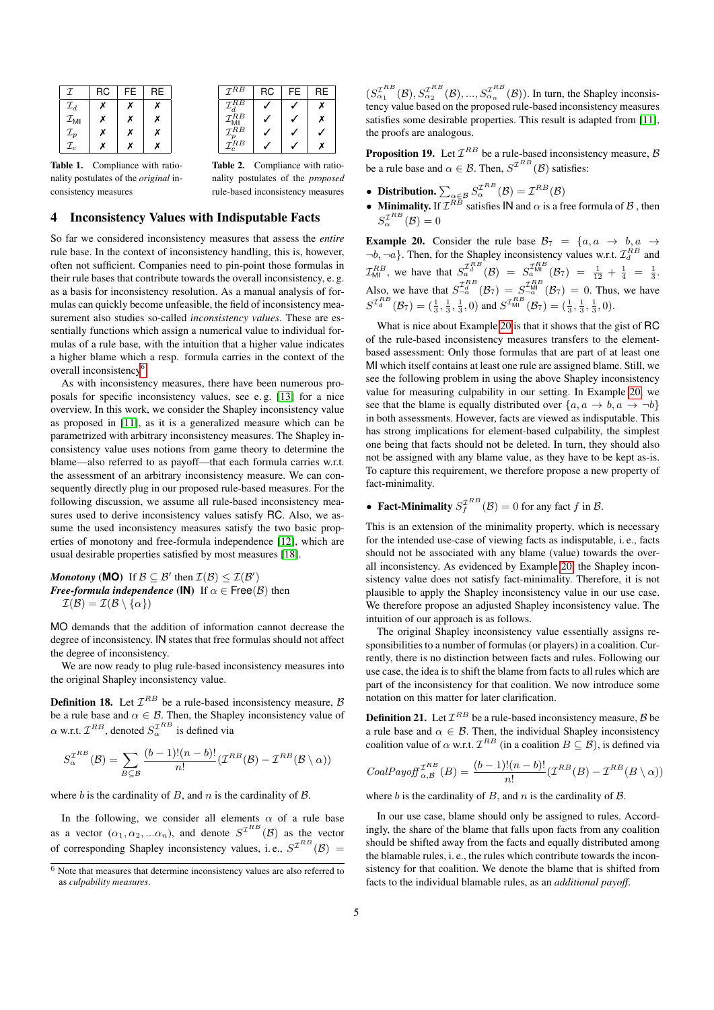| I                           | <b>RC</b> | <b>FE</b> | <b>RE</b> |
|-----------------------------|-----------|-----------|-----------|
| $\mathcal{I}_d$             | х         | x         | Х         |
| $\mathcal{I}_{\mathsf{MI}}$ | x         | Х         | Х         |
| $\mathcal{I}_p$             | x         | Х         | Х         |
| $\mathcal{I}_c$             | x         | x         | x         |
|                             |           |           |           |

| $\mathcal{I}^{R\overline{B}}$       | RC | FE | RE |
|-------------------------------------|----|----|----|
| $\mathcal{I}^{\bar{R}\overline{B}}$ |    |    |    |
| $\mathcal{I}^{RB}$                  |    |    | x  |
| $\mathcal{I}^{RB}_r$                |    |    |    |
| $\tau^{RB}$                         |    |    |    |

Table 1. Compliance with rationality postulates of the *original* inconsistency measures

Table 2. Compliance with rationality postulates of the *proposed* rule-based inconsistency measures

#### 4 Inconsistency Values with Indisputable Facts

So far we considered inconsistency measures that assess the *entire* rule base. In the context of inconsistency handling, this is, however, often not sufficient. Companies need to pin-point those formulas in their rule bases that contribute towards the overall inconsistency, e. g. as a basis for inconsistency resolution. As a manual analysis of formulas can quickly become unfeasible, the field of inconsistency measurement also studies so-called *inconsistency values*. These are essentially functions which assign a numerical value to individual formulas of a rule base, with the intuition that a higher value indicates a higher blame which a resp. formula carries in the context of the overall inconsistency<sup>[6](#page-4-0)</sup>.

As with inconsistency measures, there have been numerous proposals for specific inconsistency values, see e. g. [\[13\]](#page-7-14) for a nice overview. In this work, we consider the Shapley inconsistency value as proposed in [\[11\]](#page-7-11), as it is a generalized measure which can be parametrized with arbitrary inconsistency measures. The Shapley inconsistency value uses notions from game theory to determine the blame—also referred to as payoff—that each formula carries w.r.t. the assessment of an arbitrary inconsistency measure. We can consequently directly plug in our proposed rule-based measures. For the following discussion, we assume all rule-based inconsistency measures used to derive inconsistency values satisfy RC. Also, we assume the used inconsistency measures satisfy the two basic properties of monotony and free-formula independence [\[12\]](#page-7-10), which are usual desirable properties satisfied by most measures [\[18\]](#page-7-13).

*Monotony* (**MO**) If  $B \subseteq B'$  then  $\mathcal{I}(B) \leq \mathcal{I}(B')$ *Free-formula independence* (IN) If  $\alpha \in \text{Free}(\mathcal{B})$  then  $\mathcal{I}(\mathcal{B}) = \mathcal{I}(\mathcal{B} \setminus \{\alpha\})$ 

MO demands that the addition of information cannot decrease the degree of inconsistency. IN states that free formulas should not affect the degree of inconsistency.

We are now ready to plug rule-based inconsistency measures into the original Shapley inconsistency value.

**Definition 18.** Let  $\mathcal{I}^{RB}$  be a rule-based inconsistency measure,  $\beta$ be a rule base and  $\alpha \in \mathcal{B}$ . Then, the Shapley inconsistency value of  $\alpha$  w.r.t.  $\mathcal{I}^{RB}$ , denoted  $S_{\alpha}^{\mathcal{I}^{RB}}$  is defined via

$$
S_{\alpha}^{\mathcal{I}^{RB}}(\mathcal{B}) = \sum_{B \subseteq \mathcal{B}} \frac{(b-1)!(n-b)!}{n!} (\mathcal{I}^{RB}(\mathcal{B}) - \mathcal{I}^{RB}(\mathcal{B} \setminus \alpha))
$$

where b is the cardinality of B, and n is the cardinality of  $\beta$ .

In the following, we consider all elements  $\alpha$  of a rule base as a vector  $(\alpha_1, \alpha_2, ... \alpha_n)$ , and denote  $S^{\mathcal{I}^{RB}}(\mathcal{B})$  as the vector of corresponding Shapley inconsistency values, i.e.,  $S^{I^{RB}}(\mathcal{B}) =$ 

 $(S_{\alpha_1}^{I^R}(B), S_{\alpha_2}^{I^R}(B), ..., S_{\alpha_n}^{I^R}(B))$ . In turn, the Shapley inconsistency value based on the proposed rule-based inconsistency measures satisfies some desirable properties. This result is adapted from [\[11\]](#page-7-11), the proofs are analogous.

**Proposition 19.** Let  $\mathcal{I}^{RB}$  be a rule-based inconsistency measure, B be a rule base and  $\alpha \in \mathcal{B}$ . Then,  $S^{\mathcal{I}^{RB}}(\mathcal{B})$  satisfies:

- Distribution.  $\sum_{\alpha \in \mathcal{B}} S_{\alpha}^{\mathcal{I}^{RB}}(\mathcal{B}) = \mathcal{I}^{RB}(\mathcal{B})$
- **Minimality.** If  $\mathcal{I}^{RB}$  satisfies  $\mathsf{IN}$  and  $\alpha$  is a free formula of  $\beta$ , then  $S_{\alpha}^{\mathcal{I}^{RB}}(\mathcal{B})=0$

<span id="page-4-1"></span>**Example 20.** Consider the rule base  $B_7 = \{a, a \rightarrow b, a \rightarrow b\}$  $\neg b, \neg a$ . Then, for the Shapley inconsistency values w.r.t.  $\mathcal{I}_d^{RB}$  and  $\mathcal{I}_{\text{MI}}^{RB}$ , we have that  $S_a^{\mathcal{I}_{\text{A}}^{RB}}(\mathcal{B}) = S_a^{\mathcal{I}_{\text{M}}^{RB}}(\mathcal{B}_7) = \frac{1}{12} + \frac{1}{4} = \frac{1}{3}$ . Also, we have that  $S_{\neg a}^{\mathcal{I}_{\text{d}}^{RB}}(\mathcal{B}_{7}) = S_{\neg a}^{\mathcal{I}_{\text{M}}^{RB}}(\mathcal{B}_{7}) = 0$ . Thus, we have  $S^{T_{d}^{RB}}(\mathcal{B}_{7}) = (\frac{1}{3}, \frac{1}{3}, \frac{1}{3}, 0)$  and  $S^{T_{\text{MI}}^{RB}}(\mathcal{B}_{7}) = (\frac{1}{3}, \frac{1}{3}, \frac{1}{3}, 0)$ .

What is nice about Example [20](#page-4-1) is that it shows that the gist of RC of the rule-based inconsistency measures transfers to the elementbased assessment: Only those formulas that are part of at least one MI which itself contains at least one rule are assigned blame. Still, we see the following problem in using the above Shapley inconsistency value for measuring culpability in our setting. In Example [20,](#page-4-1) we see that the blame is equally distributed over  $\{a, a \rightarrow b, a \rightarrow \neg b\}$ in both assessments. However, facts are viewed as indisputable. This has strong implications for element-based culpability, the simplest one being that facts should not be deleted. In turn, they should also not be assigned with any blame value, as they have to be kept as-is. To capture this requirement, we therefore propose a new property of fact-minimality.

• Fact-Minimality  $S_f^{I^{RB}}(\mathcal{B}) = 0$  for any fact f in B.

This is an extension of the minimality property, which is necessary for the intended use-case of viewing facts as indisputable, i. e., facts should not be associated with any blame (value) towards the overall inconsistency. As evidenced by Example [20,](#page-4-1) the Shapley inconsistency value does not satisfy fact-minimality. Therefore, it is not plausible to apply the Shapley inconsistency value in our use case. We therefore propose an adjusted Shapley inconsistency value. The intuition of our approach is as follows.

The original Shapley inconsistency value essentially assigns responsibilities to a number of formulas (or players) in a coalition. Currently, there is no distinction between facts and rules. Following our use case, the idea is to shift the blame from facts to all rules which are part of the inconsistency for that coalition. We now introduce some notation on this matter for later clarification.

**Definition 21.** Let  $\mathcal{I}^{RB}$  be a rule-based inconsistency measure,  $\beta$  be a rule base and  $\alpha \in \mathcal{B}$ . Then, the individual Shapley inconsistency coalition value of  $\alpha$  w.r.t.  $\mathcal{I}^{RB}$  (in a coalition  $B \subseteq \mathcal{B}$ ), is defined via

$$
CoalPayoff_{\alpha,B}^{\mathcal{I}^{RB}}(B) = \frac{(b-1)!(n-b)!}{n!}(\mathcal{I}^{RB}(B) - \mathcal{I}^{RB}(B \setminus \alpha))
$$

where  $b$  is the cardinality of  $B$ , and  $n$  is the cardinality of  $B$ .

In our use case, blame should only be assigned to rules. Accordingly, the share of the blame that falls upon facts from any coalition should be shifted away from the facts and equally distributed among the blamable rules, i. e., the rules which contribute towards the inconsistency for that coalition. We denote the blame that is shifted from facts to the individual blamable rules, as an *additional payoff*.

<span id="page-4-0"></span><sup>6</sup> Note that measures that determine inconsistency values are also referred to as *culpability measures*.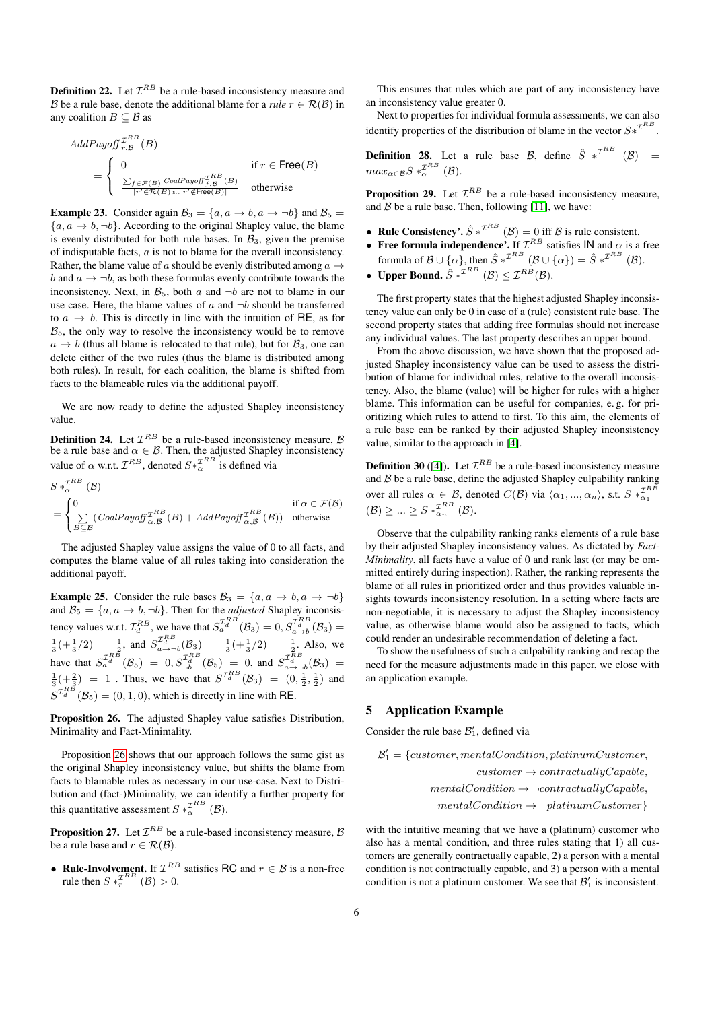**Definition 22.** Let  $\mathcal{I}^{RB}$  be a rule-based inconsistency measure and B be a rule base, denote the additional blame for a *rule*  $r \in \mathcal{R}(\mathcal{B})$  in any coalition  $B \subset \mathcal{B}$  as

$$
AddPayoff_{r,B}^{\mathcal{I}^{RB}}(B)
$$
  
= 
$$
\begin{cases} 0 & \text{if } r \in \text{Free}(B) \\ \frac{\sum_{f \in \mathcal{F}(B)}\text{CoalPayoff}_{f,B}^{\mathcal{I}^{RB}}(B)}{|r' \in \mathcal{R}(B) \text{ s.t } r' \notin \text{Free}(B)|} & \text{otherwise} \end{cases}
$$

**Example 23.** Consider again  $B_3 = \{a, a \rightarrow b, a \rightarrow -b\}$  and  $B_5 =$  ${a, a \rightarrow b, \neg b}$ . According to the original Shapley value, the blame is evenly distributed for both rule bases. In  $\mathcal{B}_3$ , given the premise of indisputable facts, a is not to blame for the overall inconsistency. Rather, the blame value of a should be evenly distributed among  $a \rightarrow$ b and  $a \rightarrow \neg b$ , as both these formulas evenly contribute towards the inconsistency. Next, in  $\mathcal{B}_5$ , both a and  $\neg b$  are not to blame in our use case. Here, the blame values of  $a$  and  $\neg b$  should be transferred to  $a \rightarrow b$ . This is directly in line with the intuition of RE, as for  $B<sub>5</sub>$ , the only way to resolve the inconsistency would be to remove  $a \rightarrow b$  (thus all blame is relocated to that rule), but for  $\mathcal{B}_3$ , one can delete either of the two rules (thus the blame is distributed among both rules). In result, for each coalition, the blame is shifted from facts to the blameable rules via the additional payoff.

We are now ready to define the adjusted Shapley inconsistency value.

**Definition 24.** Let  $\mathcal{I}^{RB}$  be a rule-based inconsistency measure,  $\beta$ be a rule base and  $\alpha \in \mathcal{B}$ . Then, the adjusted Shapley inconsistency value of  $\alpha$  w.r.t.  $\mathcal{I}^{RB}$ , denoted  $S *_{\alpha}^{\mathcal{I}^{RB}}$  is defined via

$$
S *_{\alpha}^{\mathcal{I}^{RB}} (\mathcal{B})
$$
  
= 
$$
\begin{cases} 0 & \text{if } \alpha \in \mathcal{F}(\mathcal{B}) \\ \sum_{B \subseteq \mathcal{B}} (CoalPayoff_{\alpha,\mathcal{B}}^{\mathcal{I}^{RB}}(B) + AddPayoff_{\alpha,\mathcal{B}}^{\mathcal{I}^{RB}}(B)) & \text{otherwise} \end{cases}
$$

The adjusted Shapley value assigns the value of 0 to all facts, and computes the blame value of all rules taking into consideration the additional payoff.

**Example 25.** Consider the rule bases  $B_3 = \{a, a \rightarrow b, a \rightarrow -b\}$ and  $B_5 = \{a, a \rightarrow b, \neg b\}$ . Then for the *adjusted* Shapley inconsistency values w.r.t.  $\mathcal{I}_d^{RB}$ , we have that  $S_a^{\mathcal{I}_d^{RB}}(\mathcal{B}_3) = 0, S_{a \to b}^{\mathcal{I}_d^{RB}}(\mathcal{B}_3) = 0$  $\frac{1}{3}$ (+ $\frac{1}{3}$ /2) =  $\frac{1}{2}$ , and  $S_{a\to b}^{I_a B}$ (B<sub>3</sub>) =  $\frac{1}{3}$ (+ $\frac{1}{3}$ /2) =  $\frac{1}{2}$ . Also, we have that  $S_a^{\mathcal{I}_{d}^{RB}}(\mathcal{B}_5) = 0, S_{-b}^{\mathcal{I}_{d}^{RB}}(\mathcal{B}_5) = 0$ , and  $S_{a \to -b}^{\mathcal{I}_{d}^{RB}}(\mathcal{B}_3) = 0$  $\frac{1}{3}$ (+ $\frac{2}{3}$ ) = 1. Thus, we have that  $S^{I_dB}(\mathcal{B}_3)$  =  $(0, \frac{1}{2}, \frac{1}{2})$  and  $S^{T_a^{RB}}(\mathcal{B}_5) = (0, 1, 0)$ , which is directly in line with RE.

<span id="page-5-0"></span>Proposition 26. The adjusted Shapley value satisfies Distribution, Minimality and Fact-Minimality.

Proposition [26](#page-5-0) shows that our approach follows the same gist as the original Shapley inconsistency value, but shifts the blame from facts to blamable rules as necessary in our use-case. Next to Distribution and (fact-)Minimality, we can identify a further property for this quantitative assessment  $S *_{\alpha}^{\mathcal{I}^{RB}} (\mathcal{B})$ .

**Proposition 27.** Let  $\mathcal{I}^{RB}$  be a rule-based inconsistency measure, B be a rule base and  $r \in \mathcal{R}(\mathcal{B})$ .

• Rule-Involvement. If  $\mathcal{I}^{RB}$  satisfies RC and  $r \in \mathcal{B}$  is a non-free rule then  $S *_{r}^{\mathcal{I}^{RB}} (\mathcal{B}) > 0$ .

This ensures that rules which are part of any inconsistency have an inconsistency value greater 0.

Next to properties for individual formula assessments, we can also identify properties of the distribution of blame in the vector  $S*^{\mathcal{I}^{RB}}$ .

**Definition 28.** Let a rule base B, define  $\hat{S} *^{\mathcal{I}^{RB}} (\mathcal{B}) =$  $max_{\alpha \in \mathcal{B}} S *_{\alpha}^{\mathcal{I}^{RB}} (\mathcal{B}).$ 

**Proposition 29.** Let  $\mathcal{I}^{RB}$  be a rule-based inconsistency measure, and  $\overline{B}$  be a rule base. Then, following [\[11\]](#page-7-11), we have:

- Rule Consistency'.  $\hat{S} *^{\mathcal{I}^{RB}} (\mathcal{B}) = 0$  iff  $\mathcal{B}$  is rule consistent.
- Free formula independence'. If  $\mathcal{I}^{RB}$  satisfies IN and  $\alpha$  is a free formula of  $\mathcal{B} \cup \{\alpha\}$ , then  $\hat{S} *^{\mathcal{I}^{RB}} (\mathcal{B} \cup \{\alpha\}) = \hat{S} *^{\mathcal{I}^{RB}} (\mathcal{B})$ .
- Upper Bound.  $\hat{S} *^{\mathcal{I}^{RB}} (\mathcal{B}) \leq \mathcal{I}^{RB}(\mathcal{B}).$

The first property states that the highest adjusted Shapley inconsistency value can only be 0 in case of a (rule) consistent rule base. The second property states that adding free formulas should not increase any individual values. The last property describes an upper bound.

From the above discussion, we have shown that the proposed adjusted Shapley inconsistency value can be used to assess the distribution of blame for individual rules, relative to the overall inconsistency. Also, the blame (value) will be higher for rules with a higher blame. This information can be useful for companies, e. g. for prioritizing which rules to attend to first. To this aim, the elements of a rule base can be ranked by their adjusted Shapley inconsistency value, similar to the approach in [\[4\]](#page-6-1).

**Definition 30** ([\[4\]](#page-6-1)). Let  $\mathcal{I}^{RB}$  be a rule-based inconsistency measure and  $B$  be a rule base, define the adjusted Shapley culpability ranking over all rules  $\alpha \in \mathcal{B}$ , denoted  $C(\mathcal{B})$  via  $\langle \alpha_1, ..., \alpha_n \rangle$ , s.t.  $S *_{\alpha_1}^{\mathcal{I}RB}$  $(\mathcal{B}) \geq ... \geq S *_{\alpha_n}^{\mathcal{I}^{RB}} (\mathcal{B}).$ 

Observe that the culpability ranking ranks elements of a rule base by their adjusted Shapley inconsistency values. As dictated by *Fact-Minimality*, all facts have a value of 0 and rank last (or may be ommitted entirely during inspection). Rather, the ranking represents the blame of all rules in prioritized order and thus provides valuable insights towards inconsistency resolution. In a setting where facts are non-negotiable, it is necessary to adjust the Shapley inconsistency value, as otherwise blame would also be assigned to facts, which could render an undesirable recommendation of deleting a fact.

To show the usefulness of such a culpability ranking and recap the need for the measure adjustments made in this paper, we close with an application example.

#### 5 Application Example

Consider the rule base  $\mathcal{B}'_1$ , defined via

 $\mathcal{B}'_1 = \{customer, mentalCondition, platinumCustomer,$  $customer \rightarrow contractuallyCapable,$  $mentalCondition \rightarrow \neg contractuallyCapable,$  $mentalCondition \rightarrow \neg platinumCustomer$ }

with the intuitive meaning that we have a (platinum) customer who also has a mental condition, and three rules stating that 1) all customers are generally contractually capable, 2) a person with a mental condition is not contractually capable, and 3) a person with a mental condition is not a platinum customer. We see that  $\mathcal{B}'_1$  is inconsistent.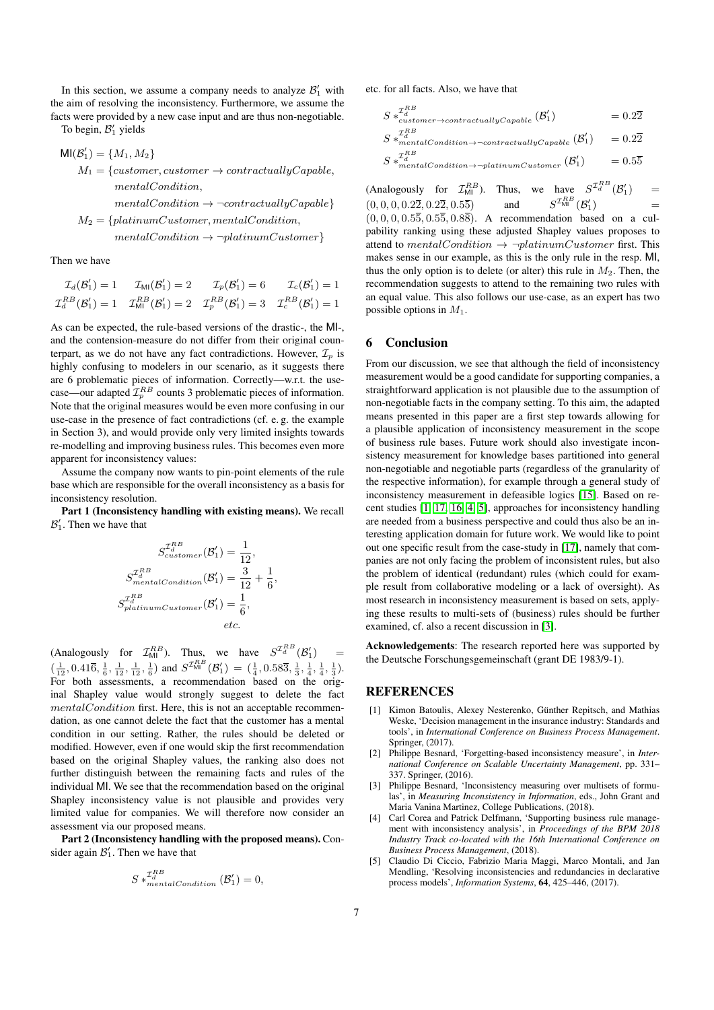In this section, we assume a company needs to analyze  $\mathcal{B}'_1$  with the aim of resolving the inconsistency. Furthermore, we assume the facts were provided by a new case input and are thus non-negotiable. To begin,  $\mathcal{B}'_1$  yields

$$
MI(\mathcal{B}'_1) = \{M_1, M_2\}
$$
  
\n
$$
M_1 = \{customer, customer \rightarrow contractuallyCapable,
$$
  
\n
$$
mentalCondition,
$$
  
\n
$$
M_2 = \{platinumCustomer, mentalCondition,
$$
  
\n
$$
mentalCondition \rightarrow \neg platinumCustomer
$$

Then we have

$$
\mathcal{I}_d(\mathcal{B}'_1) = 1 \qquad \mathcal{I}_{\text{MI}}(\mathcal{B}'_1) = 2 \qquad \mathcal{I}_p(\mathcal{B}'_1) = 6 \qquad \mathcal{I}_c(\mathcal{B}'_1) = 1
$$
\n
$$
\mathcal{I}_d^{RB}(\mathcal{B}'_1) = 1 \qquad \mathcal{I}_{\text{MI}}^{RB}(\mathcal{B}'_1) = 2 \qquad \mathcal{I}_p^{RB}(\mathcal{B}'_1) = 3 \qquad \mathcal{I}_c^{RB}(\mathcal{B}'_1) = 1
$$

As can be expected, the rule-based versions of the drastic-, the MI-, and the contension-measure do not differ from their original counterpart, as we do not have any fact contradictions. However,  $\mathcal{I}_p$  is highly confusing to modelers in our scenario, as it suggests there are 6 problematic pieces of information. Correctly—w.r.t. the usecase—our adapted  $\mathcal{I}_p^{RB}$  counts 3 problematic pieces of information. Note that the original measures would be even more confusing in our use-case in the presence of fact contradictions (cf. e. g. the example in Section 3), and would provide only very limited insights towards re-modelling and improving business rules. This becomes even more apparent for inconsistency values:

Assume the company now wants to pin-point elements of the rule base which are responsible for the overall inconsistency as a basis for inconsistency resolution.

Part 1 (Inconsistency handling with existing means). We recall  $\mathcal{B}'_1$ . Then we have that

$$
S_{customer}^{\mathcal{I}_d^{RB}}(\mathcal{B}'_1) = \frac{1}{12},
$$
  
\n
$$
S_{mentioneditation}^{\mathcal{I}_d^{RB}}(\mathcal{B}'_1) = \frac{3}{12} + \frac{1}{6}
$$
  
\n
$$
S_{platinumCustomer}^{\mathcal{I}_d^{RB}}(\mathcal{B}'_1) = \frac{1}{6},
$$
  
\netc.

,

(Analogously for  $\mathcal{I}_{\text{MI}}^{RB}$ ). Thus, we have  $S^{\mathcal{I}_{d}^{RB}}(\mathcal{B}'_1)$  =  $\left(\frac{1}{12}, 0.41\overline{6}, \frac{1}{6}, \frac{1}{12}, \frac{1}{12}, \frac{1}{6}\right)$  and  $S^{T_{\text{MI}}^{RB}}(\mathcal{B}'_1) = \left(\frac{1}{4}, 0.58\overline{3}, \frac{1}{3}, \frac{1}{4}, \frac{1}{4}, \frac{1}{3}\right)$ . For both assessments, a recommendation based on the original Shapley value would strongly suggest to delete the fact mentalCondition first. Here, this is not an acceptable recommendation, as one cannot delete the fact that the customer has a mental condition in our setting. Rather, the rules should be deleted or modified. However, even if one would skip the first recommendation based on the original Shapley values, the ranking also does not further distinguish between the remaining facts and rules of the individual MI. We see that the recommendation based on the original Shapley inconsistency value is not plausible and provides very limited value for companies. We will therefore now consider an assessment via our proposed means.

Part 2 (Inconsistency handling with the proposed means). Consider again  $\mathcal{B}'_1$ . Then we have that

$$
S *_{mentalCondition}^{\mathcal{I}_d^{RB}} (\mathcal{B}'_1) = 0,
$$

etc. for all facts. Also, we have that

 $\overline{B}$ 

$$
S *_{\text{customer}\to\text{contractuallyCapable}}^{T_0^{H}} (\mathcal{B}'_1) = 0.2\overline{2}
$$
  
\n
$$
S *_{\text{mentalCondition}\to\text{-contractuallyCapable}}^{T_0^{R}} (\mathcal{B}'_1) = 0.2\overline{2}
$$

- $S *_{men}^{\mathcal{I}_d^{RB}}$  $= 0.55$
- $T_d^{\mu\nu}$ <br>mentalCondition→¬platinumCustomer  $(\mathcal{B})$

(Analogously for  $\mathcal{I}_{\text{MI}}^{RB}$ ). Thus, we have  $S^{\mathcal{I}_{d}^{RB}}(\mathcal{B}_{1}')$  =  $(0, 0, 0, 0.2\overline{2}, 0.2\overline{2}, 0.5\overline{5})$  and  ${}^{\prime\mathcal{I}^{RB}_{\mathsf{MI}}}(\mathcal{B}'_{1})$  $\binom{n'}{1}$  =  $(0, 0, 0, 0.5\overline{5}, 0.5\overline{5}, 0.8\overline{8})$ . A recommendation based on a culpability ranking using these adjusted Shapley values proposes to attend to mentalCondition  $\rightarrow \neg platinumCustomer$  first. This makes sense in our example, as this is the only rule in the resp. MI, thus the only option is to delete (or alter) this rule in  $M_2$ . Then, the recommendation suggests to attend to the remaining two rules with an equal value. This also follows our use-case, as an expert has two possible options in  $M_1$ .

#### 6 Conclusion

From our discussion, we see that although the field of inconsistency measurement would be a good candidate for supporting companies, a straightforward application is not plausible due to the assumption of non-negotiable facts in the company setting. To this aim, the adapted means presented in this paper are a first step towards allowing for a plausible application of inconsistency measurement in the scope of business rule bases. Future work should also investigate inconsistency measurement for knowledge bases partitioned into general non-negotiable and negotiable parts (regardless of the granularity of the respective information), for example through a general study of inconsistency measurement in defeasible logics [\[15\]](#page-7-15). Based on recent studies [\[1,](#page-6-0) [17,](#page-7-3) [16,](#page-7-0) [4,](#page-6-1) [5\]](#page-6-3), approaches for inconsistency handling are needed from a business perspective and could thus also be an interesting application domain for future work. We would like to point out one specific result from the case-study in [\[17\]](#page-7-3), namely that companies are not only facing the problem of inconsistent rules, but also the problem of identical (redundant) rules (which could for example result from collaborative modeling or a lack of oversight). As most research in inconsistency measurement is based on sets, applying these results to multi-sets of (business) rules should be further examined, cf. also a recent discussion in [\[3\]](#page-6-4).

Acknowledgements: The research reported here was supported by the Deutsche Forschungsgemeinschaft (grant DE 1983/9-1).

# **REFERENCES**

- <span id="page-6-0"></span>[1] Kimon Batoulis, Alexey Nesterenko, Günther Repitsch, and Mathias Weske, 'Decision management in the insurance industry: Standards and tools', in *International Conference on Business Process Management*. Springer, (2017).
- <span id="page-6-2"></span>[2] Philippe Besnard, 'Forgetting-based inconsistency measure', in *International Conference on Scalable Uncertainty Management*, pp. 331– 337. Springer, (2016).
- <span id="page-6-4"></span>[3] Philippe Besnard, 'Inconsistency measuring over multisets of formulas', in *Measuring Inconsistency in Information*, eds., John Grant and Maria Vanina Martinez, College Publications, (2018).
- <span id="page-6-1"></span>Carl Corea and Patrick Delfmann, 'Supporting business rule management with inconsistency analysis', in *Proceedings of the BPM 2018 Industry Track co-located with the 16th International Conference on Business Process Management*, (2018).
- <span id="page-6-3"></span>[5] Claudio Di Ciccio, Fabrizio Maria Maggi, Marco Montali, and Jan Mendling, 'Resolving inconsistencies and redundancies in declarative process models', *Information Systems*, 64, 425–446, (2017).